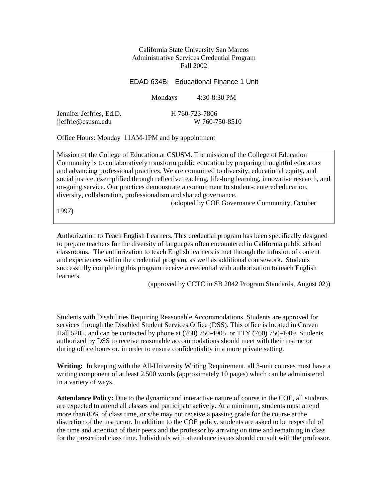#### California State University San Marcos Administrative Services Credential Program Fall 2002

#### EDAD 634B: Educational Finance 1 Unit

Mondays 4:30-8:30 PM

Jennifer Jeffries, Ed.D. H 760-723-7806 jjeffrie@csusm.edu W 760-750-8510

Office Hours: Monday 11AM-1PM and by appointment

Mission of the College of Education at CSUSM. The mission of the College of Education Community is to collaboratively transform public education by preparing thoughtful educators and advancing professional practices. We are committed to diversity, educational equity, and social justice, exemplified through reflective teaching, life-long learning, innovative research, and on-going service. Our practices demonstrate a commitment to student-centered education, diversity, collaboration, professionalism and shared governance.

(adopted by COE Governance Community, October

1997)

**A**uthorization to Teach English Learners. This credential program has been specifically designed to prepare teachers for the diversity of languages often encountered in California public school classrooms. The authorization to teach English learners is met through the infusion of content and experiences within the credential program, as well as additional coursework. Students successfully completing this program receive a credential with authorization to teach English learners.

(approved by CCTC in SB 2042 Program Standards, August 02))

Students with Disabilities Requiring Reasonable Accommodations. Students are approved for services through the Disabled Student Services Office (DSS). This office is located in Craven Hall 5205, and can be contacted by phone at (760) 750-4905, or TTY (760) 750-4909. Students authorized by DSS to receive reasonable accommodations should meet with their instructor during office hours or, in order to ensure confidentiality in a more private setting.

**Writing:** In keeping with the All-University Writing Requirement, all 3-unit courses must have a writing component of at least 2,500 words (approximately 10 pages) which can be administered in a variety of ways.

**Attendance Policy:** Due to the dynamic and interactive nature of course in the COE, all students are expected to attend all classes and participate actively. At a minimum, students must attend more than 80% of class time, or s/he may not receive a passing grade for the course at the discretion of the instructor. In addition to the COE policy, students are asked to be respectful of the time and attention of their peers and the professor by arriving on time and remaining in class for the prescribed class time. Individuals with attendance issues should consult with the professor.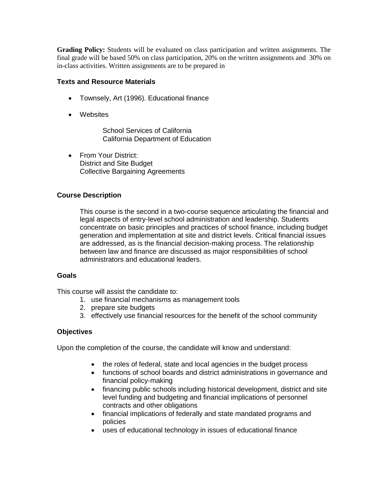**Grading Policy:** Students will be evaluated on class participation and written assignments. The final grade will be based 50% on class participation, 20% on the written assignments and 30% on in-class activities. Written assignments are to be prepared in

#### **Texts and Resource Materials**

- Townsely, Art (1996). Educational finance
- Websites

School Services of California California Department of Education

• From Your District: District and Site Budget Collective Bargaining Agreements

# **Course Description**

This course is the second in a two-course sequence articulating the financial and legal aspects of entry-level school administration and leadership. Students concentrate on basic principles and practices of school finance, including budget generation and implementation at site and district levels. Critical financial issues are addressed, as is the financial decision-making process. The relationship between law and finance are discussed as major responsibilities of school administrators and educational leaders.

# **Goals**

This course will assist the candidate to:

- 1. use financial mechanisms as management tools
- 2. prepare site budgets
- 3. effectively use financial resources for the benefit of the school community

# **Objectives**

Upon the completion of the course, the candidate will know and understand:

- the roles of federal, state and local agencies in the budget process
- functions of school boards and district administrations in governance and financial policy-making
- financing public schools including historical development, district and site level funding and budgeting and financial implications of personnel contracts and other obligations
- financial implications of federally and state mandated programs and policies
- uses of educational technology in issues of educational finance